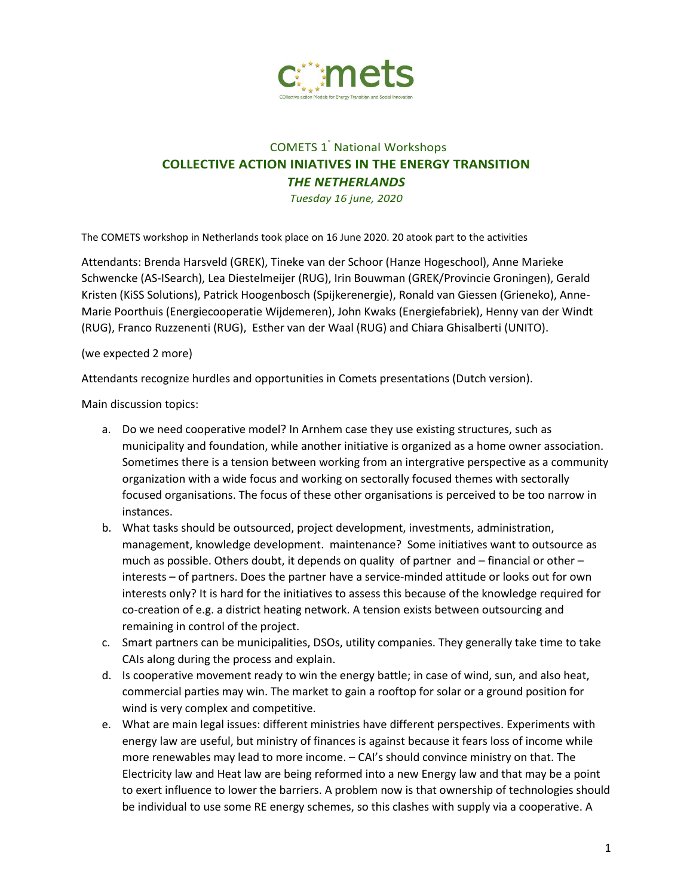

## COMETS 1° National Workshops **COLLECTIVE ACTION INIATIVES IN THE ENERGY TRANSITION** *THE NETHERLANDS*

*Tuesday 16 june, 2020*

The COMETS workshop in Netherlands took place on 16 June 2020. 20 atook part to the activities

Attendants: Brenda Harsveld (GREK), Tineke van der Schoor (Hanze Hogeschool), Anne Marieke Schwencke (AS-ISearch), Lea Diestelmeijer (RUG), Irin Bouwman (GREK/Provincie Groningen), Gerald Kristen (KiSS Solutions), Patrick Hoogenbosch (Spijkerenergie), Ronald van Giessen (Grieneko), Anne-Marie Poorthuis (Energiecooperatie Wijdemeren), John Kwaks (Energiefabriek), Henny van der Windt (RUG), Franco Ruzzenenti (RUG), Esther van der Waal (RUG) and Chiara Ghisalberti (UNITO).

## (we expected 2 more)

Attendants recognize hurdles and opportunities in Comets presentations (Dutch version).

Main discussion topics:

- a. Do we need cooperative model? In Arnhem case they use existing structures, such as municipality and foundation, while another initiative is organized as a home owner association. Sometimes there is a tension between working from an intergrative perspective as a community organization with a wide focus and working on sectorally focused themes with sectorally focused organisations. The focus of these other organisations is perceived to be too narrow in instances.
- b. What tasks should be outsourced, project development, investments, administration, management, knowledge development. maintenance? Some initiatives want to outsource as much as possible. Others doubt, it depends on quality of partner and – financial or other – interests – of partners. Does the partner have a service-minded attitude or looks out for own interests only? It is hard for the initiatives to assess this because of the knowledge required for co-creation of e.g. a district heating network. A tension exists between outsourcing and remaining in control of the project.
- c. Smart partners can be municipalities, DSOs, utility companies. They generally take time to take CAIs along during the process and explain.
- d. Is cooperative movement ready to win the energy battle; in case of wind, sun, and also heat, commercial parties may win. The market to gain a rooftop for solar or a ground position for wind is very complex and competitive.
- e. What are main legal issues: different ministries have different perspectives. Experiments with energy law are useful, but ministry of finances is against because it fears loss of income while more renewables may lead to more income. – CAI's should convince ministry on that. The Electricity law and Heat law are being reformed into a new Energy law and that may be a point to exert influence to lower the barriers. A problem now is that ownership of technologies should be individual to use some RE energy schemes, so this clashes with supply via a cooperative. A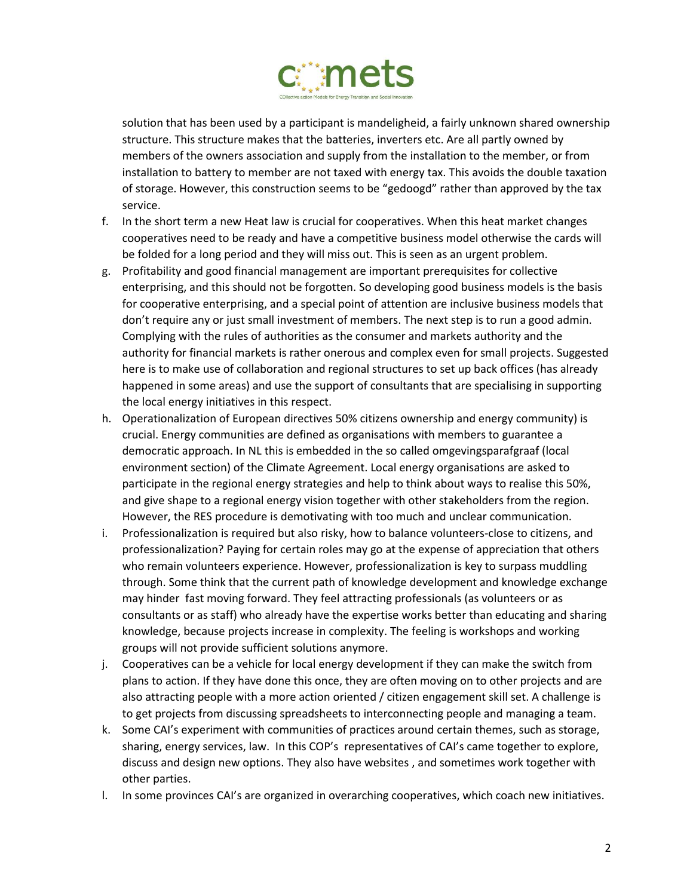

solution that has been used by a participant is mandeligheid, a fairly unknown shared ownership structure. This structure makes that the batteries, inverters etc. Are all partly owned by members of the owners association and supply from the installation to the member, or from installation to battery to member are not taxed with energy tax. This avoids the double taxation of storage. However, this construction seems to be "gedoogd" rather than approved by the tax service.

- f. In the short term a new Heat law is crucial for cooperatives. When this heat market changes cooperatives need to be ready and have a competitive business model otherwise the cards will be folded for a long period and they will miss out. This is seen as an urgent problem.
- g. Profitability and good financial management are important prerequisites for collective enterprising, and this should not be forgotten. So developing good business models is the basis for cooperative enterprising, and a special point of attention are inclusive business models that don't require any or just small investment of members. The next step is to run a good admin. Complying with the rules of authorities as the consumer and markets authority and the authority for financial markets is rather onerous and complex even for small projects. Suggested here is to make use of collaboration and regional structures to set up back offices (has already happened in some areas) and use the support of consultants that are specialising in supporting the local energy initiatives in this respect.
- h. Operationalization of European directives 50% citizens ownership and energy community) is crucial. Energy communities are defined as organisations with members to guarantee a democratic approach. In NL this is embedded in the so called omgevingsparafgraaf (local environment section) of the Climate Agreement. Local energy organisations are asked to participate in the regional energy strategies and help to think about ways to realise this 50%, and give shape to a regional energy vision together with other stakeholders from the region. However, the RES procedure is demotivating with too much and unclear communication.
- i. Professionalization is required but also risky, how to balance volunteers-close to citizens, and professionalization? Paying for certain roles may go at the expense of appreciation that others who remain volunteers experience. However, professionalization is key to surpass muddling through. Some think that the current path of knowledge development and knowledge exchange may hinder fast moving forward. They feel attracting professionals (as volunteers or as consultants or as staff) who already have the expertise works better than educating and sharing knowledge, because projects increase in complexity. The feeling is workshops and working groups will not provide sufficient solutions anymore.
- j. Cooperatives can be a vehicle for local energy development if they can make the switch from plans to action. If they have done this once, they are often moving on to other projects and are also attracting people with a more action oriented / citizen engagement skill set. A challenge is to get projects from discussing spreadsheets to interconnecting people and managing a team.
- k. Some CAI's experiment with communities of practices around certain themes, such as storage, sharing, energy services, law. In this COP's representatives of CAI's came together to explore, discuss and design new options. They also have websites , and sometimes work together with other parties.
- l. In some provinces CAI's are organized in overarching cooperatives, which coach new initiatives.